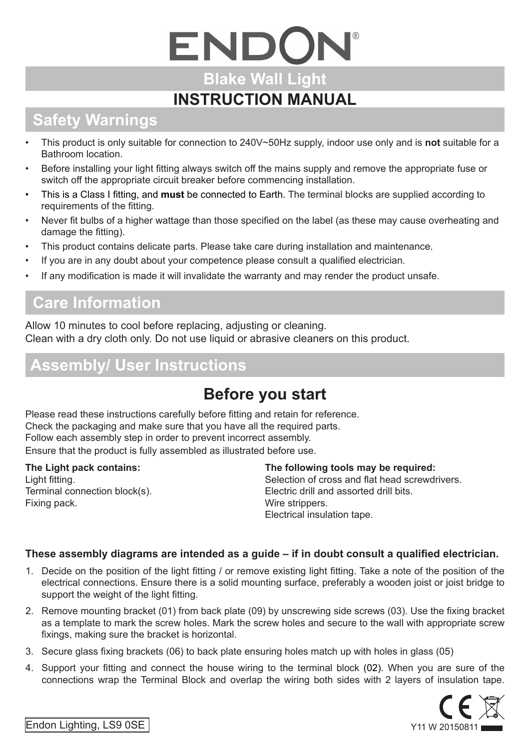# ENDOI **Blake Wall Light INSTRUCTION MANUAL**

## **Safety Warnings**

- This product is only suitable for connection to 240V~50Hz supply, indoor use only and is **not** suitable for a Bathroom location.
- Before installing your light fitting always switch off the mains supply and remove the appropriate fuse or switch off the appropriate circuit breaker before commencing installation.
- • This is a Class I fitting, and **must** be connected to Earth. The terminal blocks are supplied according to requirements of the fitting.
- Never fit bulbs of a higher wattage than those specified on the label (as these may cause overheating and damage the fitting).
- This product contains delicate parts. Please take care during installation and maintenance.
- If you are in any doubt about your competence please consult a qualified electrician.
- If any modification is made it will invalidate the warranty and may render the product unsafe.

#### **Care Information**

Allow 10 minutes to cool before replacing, adjusting or cleaning. Clean with a dry cloth only. Do not use liquid or abrasive cleaners on this product.

#### **Assembly/ User Instructions**

### **Before you start**

Please read these instructions carefully before fitting and retain for reference. Check the packaging and make sure that you have all the required parts. Follow each assembly step in order to prevent incorrect assembly. Ensure that the product is fully assembled as illustrated before use.

**The Light pack contains:** Light fitting. Terminal connection block(s). Fixing pack.

#### **The following tools may be required:**

Selection of cross and flat head screwdrivers. Electric drill and assorted drill bits. Wire strippers. Electrical insulation tape.

#### **These assembly diagrams are intended as a guide – if in doubt consult a qualified electrician.**

- 1. Decide on the position of the light fitting / or remove existing light fitting. Take a note of the position of the electrical connections. Ensure there is a solid mounting surface, preferably a wooden joist or joist bridge to support the weight of the light fitting.
- 2. Remove mounting bracket (01) from back plate (09) by unscrewing side screws (03). Use the fixing bracket as a template to mark the screw holes. Mark the screw holes and secure to the wall with appropriate screw fixings, making sure the bracket is horizontal.
- 3. Secure glass fixing brackets (06) to back plate ensuring holes match up with holes in glass (05)
- 4. Support your fitting and connect the house wiring to the terminal block (02). When you are sure of the connections wrap the Terminal Block and overlap the wiring both sides with 2 layers of insulation tape.



Endon Lighting, LS9 0SE